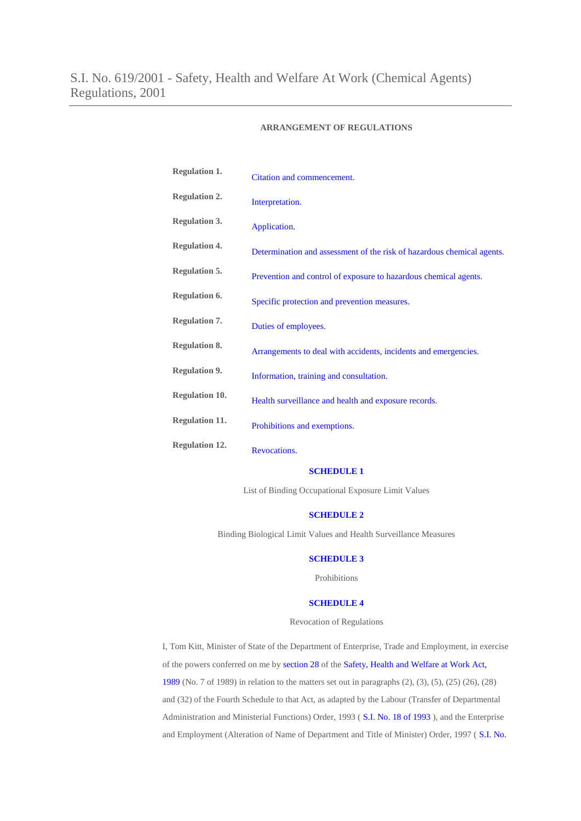### **ARRANGEMENT OF REGULATIONS**

| <b>Regulation 1.</b>  | Citation and commencement.                                             |
|-----------------------|------------------------------------------------------------------------|
| <b>Regulation 2.</b>  | Interpretation.                                                        |
| <b>Regulation 3.</b>  | Application.                                                           |
| <b>Regulation 4.</b>  | Determination and assessment of the risk of hazardous chemical agents. |
| <b>Regulation 5.</b>  | Prevention and control of exposure to hazardous chemical agents.       |
| <b>Regulation 6.</b>  | Specific protection and prevention measures.                           |
| <b>Regulation 7.</b>  | Duties of employees.                                                   |
| <b>Regulation 8.</b>  | Arrangements to deal with accidents, incidents and emergencies.        |
| <b>Regulation 9.</b>  | Information, training and consultation.                                |
| <b>Regulation 10.</b> | Health surveillance and health and exposure records.                   |
| <b>Regulation 11.</b> | Prohibitions and exemptions.                                           |
| <b>Regulation 12.</b> | Revocations.                                                           |

### **[SCHEDULE](http://www.irishstatutebook.ie/2001/en/si/0619.html#sched1) 1**

List of Binding Occupational Exposure Limit Values

### **[SCHEDULE](http://www.irishstatutebook.ie/2001/en/si/0619.html#sched2) 2**

Binding Biological Limit Values and Health Surveillance Measures

### **[SCHEDULE](http://www.irishstatutebook.ie/2001/en/si/0619.html#sched3) 3**

Prohibitions

# **[SCHEDULE](http://www.irishstatutebook.ie/2001/en/si/0619.html#sched3) 4**

Revocation of Regulations

I, Tom Kitt, Minister of State of the Department of Enterprise, Trade and Employment, in exercise of the powers conferred on me by [section](http://www.irishstatutebook.ie/1989/en/act/pub/0007/sec0028.html#sec28) 28 of the Safety, Health and [Welfare](http://www.irishstatutebook.ie/1989/en/act/pub/0007/index.html) at Work Act, [1989](http://www.irishstatutebook.ie/1989/en/act/pub/0007/index.html) (No. 7 of 1989) in relation to the matters set out in paragraphs (2), (3), (5), (25) (26), (28) and (32) of the Fourth Schedule to that Act, as adapted by the Labour (Transfer of Departmental Administration and Ministerial Functions) Order, 1993 ( S.I. No. 18 of [1993](http://www.irishstatutebook.ie/1993/en/si/0018.html) ), and the Enterprise and Employment (Alteration of Name of Department and Title of Minister) Order, 1997 ( S.I. [No.](http://www.irishstatutebook.ie/1997/en/si/0305.html)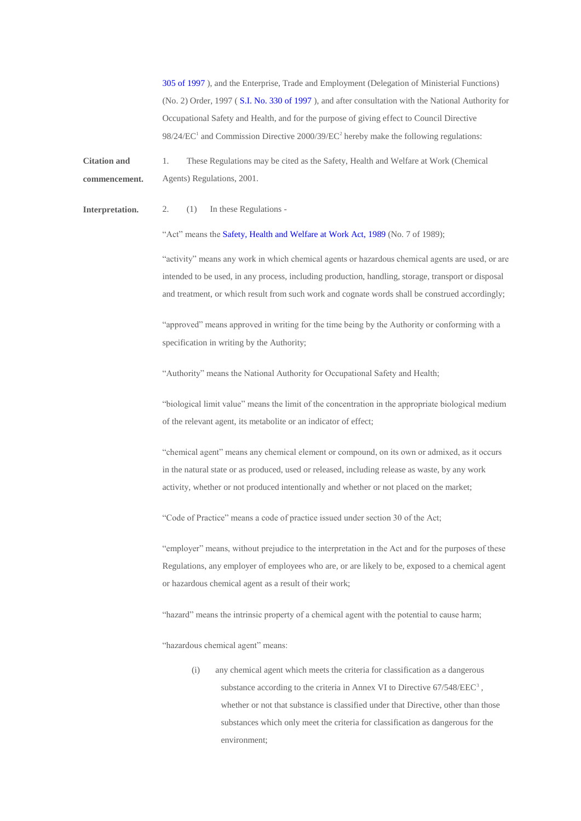305 of [1997](http://www.irishstatutebook.ie/1997/en/si/0305.html) ), and the Enterprise, Trade and Employment (Delegation of Ministerial Functions) (No. 2) Order, 1997 ( S.I. No. 330 of [1997](http://www.irishstatutebook.ie/1997/en/si/0330.html) ), and after consultation with the National Authority for Occupational Safety and Health, and for the purpose of giving effect to Council Directive 98/24/EC<sup>1</sup> and Commission Directive 2000/39/EC<sup>2</sup> hereby make the following regulations:

**Citation and commencement.** 1. These Regulations may be cited as the Safety, Health and Welfare at Work (Chemical Agents) Regulations, 2001.

**Interpretation.** 2. (1) In these Regulations -

"Act" means the Safety, Health and [Welfare](http://www.irishstatutebook.ie/1989/en/act/pub/0007/index.html) at Work Act, 1989 (No. 7 of 1989);

"activity" means any work in which chemical agents or hazardous chemical agents are used, or are intended to be used, in any process, including production, handling, storage, transport or disposal and treatment, or which result from such work and cognate words shall be construed accordingly;

"approved" means approved in writing for the time being by the Authority or conforming with a specification in writing by the Authority;

"Authority" means the National Authority for Occupational Safety and Health;

"biological limit value" means the limit of the concentration in the appropriate biological medium of the relevant agent, its metabolite or an indicator of effect;

"chemical agent" means any chemical element or compound, on its own or admixed, as it occurs in the natural state or as produced, used or released, including release as waste, by any work activity, whether or not produced intentionally and whether or not placed on the market;

"Code of Practice" means a code of practice issued under section 30 of the Act;

"employer" means, without prejudice to the interpretation in the Act and for the purposes of these Regulations, any employer of employees who are, or are likely to be, exposed to a chemical agent or hazardous chemical agent as a result of their work;

"hazard" means the intrinsic property of a chemical agent with the potential to cause harm;

"hazardous chemical agent" means:

(i) any chemical agent which meets the criteria for classification as a dangerous substance according to the criteria in Annex VI to Directive 67/548/EEC<sup>3</sup>, whether or not that substance is classified under that Directive, other than those substances which only meet the criteria for classification as dangerous for the environment;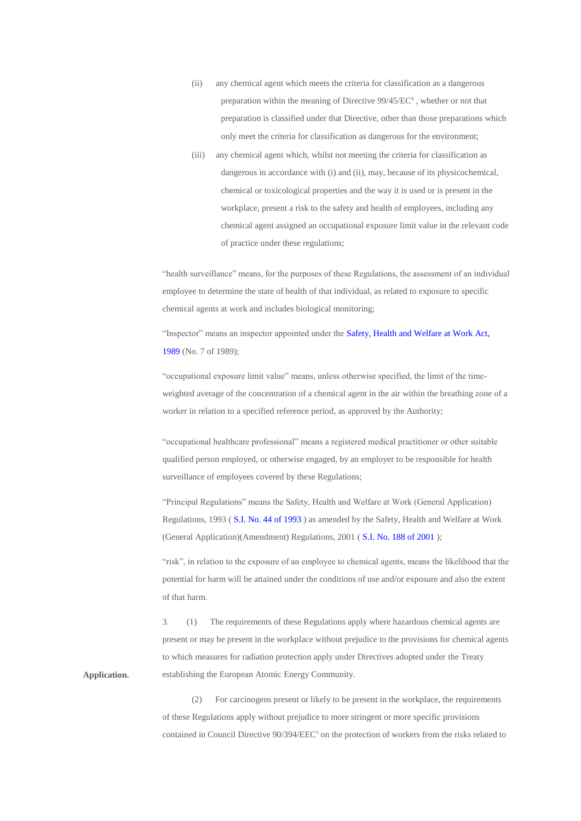- (ii) any chemical agent which meets the criteria for classification as a dangerous preparation within the meaning of Directive 99/45/EC<sup>4</sup>, whether or not that preparation is classified under that Directive, other than those preparations which only meet the criteria for classification as dangerous for the environment;
- (iii) any chemical agent which, whilst not meeting the criteria for classification as dangerous in accordance with (i) and (ii), may, because of its physicochemical, chemical or toxicological properties and the way it is used or is present in the workplace, present a risk to the safety and health of employees, including any chemical agent assigned an occupational exposure limit value in the relevant code of practice under these regulations;

"health surveillance" means, for the purposes of these Regulations, the assessment of an individual employee to determine the state of health of that individual, as related to exposure to specific chemical agents at work and includes biological monitoring;

"Inspector" means an inspector appointed under the Safety, Health and [Welfare](http://www.irishstatutebook.ie/1989/en/act/pub/0007/index.html) at Work Act, [1989](http://www.irishstatutebook.ie/1989/en/act/pub/0007/index.html) (No. 7 of 1989);

"occupational exposure limit value" means, unless otherwise specified, the limit of the timeweighted average of the concentration of a chemical agent in the air within the breathing zone of a worker in relation to a specified reference period, as approved by the Authority;

"occupational healthcare professional" means a registered medical practitioner or other suitable qualified person employed, or otherwise engaged, by an employer to be responsible for health surveillance of employees covered by these Regulations;

"Principal Regulations" means the Safety, Health and Welfare at Work (General Application) Regulations, 1993 ( S.I. No. 44 of [1993](http://www.irishstatutebook.ie/1993/en/si/0044.html) ) as amended by the Safety, Health and Welfare at Work (General Application)(Amendment) Regulations, 2001 ( S.I. No. 188 of [2001](http://www.irishstatutebook.ie/2001/en/si/0188.html) );

"risk", in relation to the exposure of an employee to chemical agents, means the likelihood that the potential for harm will be attained under the conditions of use and/or exposure and also the extent of that harm.

3. (1) The requirements of these Regulations apply where hazardous chemical agents are present or may be present in the workplace without prejudice to the provisions for chemical agents to which measures for radiation protection apply under Directives adopted under the Treaty establishing the European Atomic Energy Community.

**Application.**

(2) For carcinogens present or likely to be present in the workplace, the requirements of these Regulations apply without prejudice to more stringent or more specific provisions contained in Council Directive  $90/394/EEC<sup>5</sup>$  on the protection of workers from the risks related to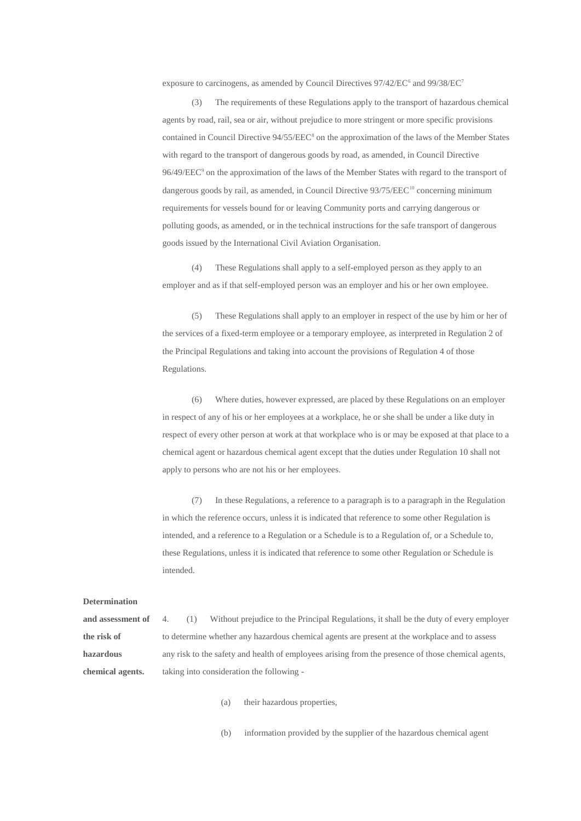exposure to carcinogens, as amended by Council Directives 97/42/EC<sup>6</sup> and 99/38/EC<sup>7</sup>

(3) The requirements of these Regulations apply to the transport of hazardous chemical agents by road, rail, sea or air, without prejudice to more stringent or more specific provisions contained in Council Directive 94/55/EEC<sup>8</sup> on the approximation of the laws of the Member States with regard to the transport of dangerous goods by road, as amended, in Council Directive 96/49/EEC<sup>9</sup> on the approximation of the laws of the Member States with regard to the transport of dangerous goods by rail, as amended, in Council Directive 93/75/EEC<sup>10</sup> concerning minimum requirements for vessels bound for or leaving Community ports and carrying dangerous or polluting goods, as amended, or in the technical instructions for the safe transport of dangerous goods issued by the International Civil Aviation Organisation.

(4) These Regulations shall apply to a self-employed person as they apply to an employer and as if that self-employed person was an employer and his or her own employee.

(5) These Regulations shall apply to an employer in respect of the use by him or her of the services of a fixed-term employee or a temporary employee, as interpreted in Regulation 2 of the Principal Regulations and taking into account the provisions of Regulation 4 of those Regulations.

(6) Where duties, however expressed, are placed by these Regulations on an employer in respect of any of his or her employees at a workplace, he or she shall be under a like duty in respect of every other person at work at that workplace who is or may be exposed at that place to a chemical agent or hazardous chemical agent except that the duties under Regulation 10 shall not apply to persons who are not his or her employees.

(7) In these Regulations, a reference to a paragraph is to a paragraph in the Regulation in which the reference occurs, unless it is indicated that reference to some other Regulation is intended, and a reference to a Regulation or a Schedule is to a Regulation of, or a Schedule to, these Regulations, unless it is indicated that reference to some other Regulation or Schedule is intended.

#### **Determination**

**and assessment of the risk of hazardous chemical agents.** 4. (1) Without prejudice to the Principal Regulations, it shall be the duty of every employer to determine whether any hazardous chemical agents are present at the workplace and to assess any risk to the safety and health of employees arising from the presence of those chemical agents, taking into consideration the following -

(a) their hazardous properties,

(b) information provided by the supplier of the hazardous chemical agent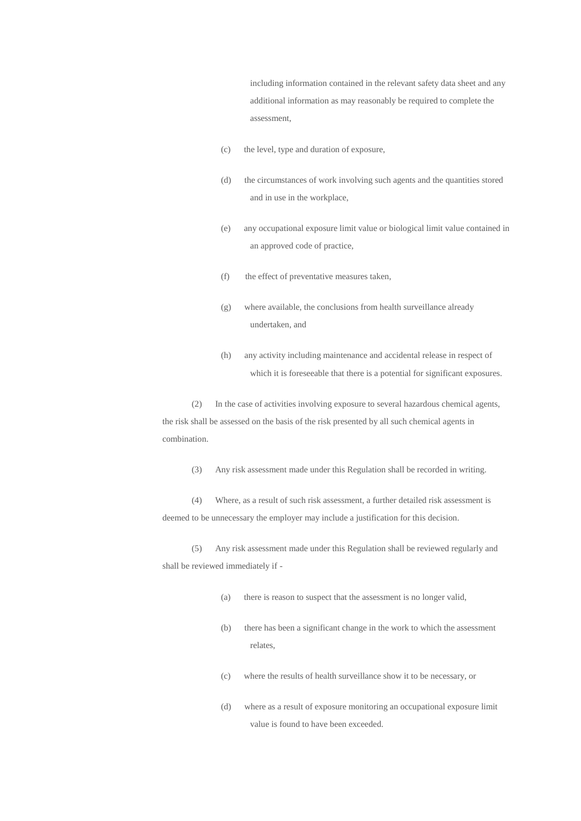including information contained in the relevant safety data sheet and any additional information as may reasonably be required to complete the assessment,

- (c) the level, type and duration of exposure,
- (d) the circumstances of work involving such agents and the quantities stored and in use in the workplace,
- (e) any occupational exposure limit value or biological limit value contained in an approved code of practice,
- (f) the effect of preventative measures taken,
- (g) where available, the conclusions from health surveillance already undertaken, and
- (h) any activity including maintenance and accidental release in respect of which it is foreseeable that there is a potential for significant exposures.

(2) In the case of activities involving exposure to several hazardous chemical agents, the risk shall be assessed on the basis of the risk presented by all such chemical agents in combination.

(3) Any risk assessment made under this Regulation shall be recorded in writing.

(4) Where, as a result of such risk assessment, a further detailed risk assessment is deemed to be unnecessary the employer may include a justification for this decision.

(5) Any risk assessment made under this Regulation shall be reviewed regularly and shall be reviewed immediately if -

- (a) there is reason to suspect that the assessment is no longer valid,
- (b) there has been a significant change in the work to which the assessment relates,
- (c) where the results of health surveillance show it to be necessary, or
- (d) where as a result of exposure monitoring an occupational exposure limit value is found to have been exceeded.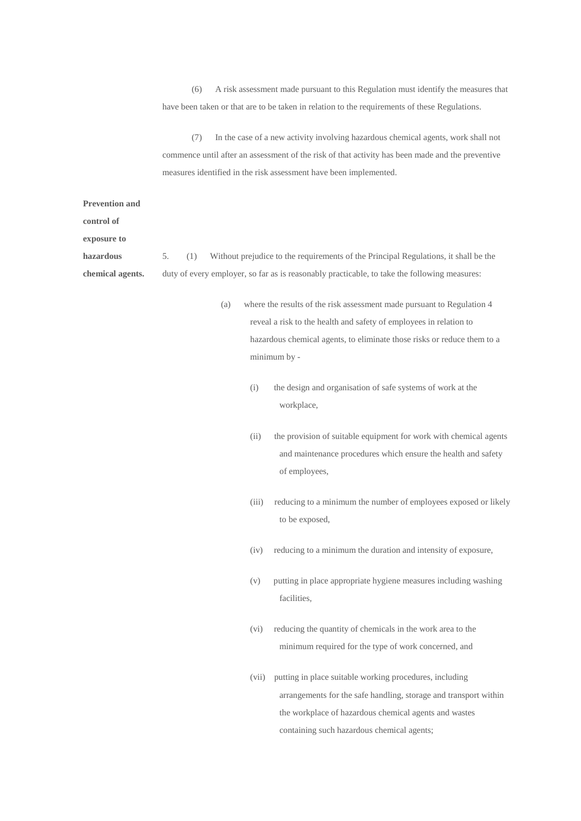(6) A risk assessment made pursuant to this Regulation must identify the measures that have been taken or that are to be taken in relation to the requirements of these Regulations.

(7) In the case of a new activity involving hazardous chemical agents, work shall not commence until after an assessment of the risk of that activity has been made and the preventive measures identified in the risk assessment have been implemented.

| <b>Prevention and</b> |                                                                                                  |
|-----------------------|--------------------------------------------------------------------------------------------------|
| control of            |                                                                                                  |
| exposure to           |                                                                                                  |
| hazardous             | Without prejudice to the requirements of the Principal Regulations, it shall be the<br>5.<br>(1) |
| chemical agents.      | duty of every employer, so far as is reasonably practicable, to take the following measures:     |
|                       |                                                                                                  |
|                       | where the results of the risk assessment made pursuant to Regulation 4<br>(a)                    |

reveal a risk to the health and safety of employees in relation to hazardous chemical agents, to eliminate those risks or reduce them to a minimum by -

- (i) the design and organisation of safe systems of work at the workplace,
- (ii) the provision of suitable equipment for work with chemical agents and maintenance procedures which ensure the health and safety of employees,
- (iii) reducing to a minimum the number of employees exposed or likely to be exposed,
- (iv) reducing to a minimum the duration and intensity of exposure,
- (v) putting in place appropriate hygiene measures including washing facilities,
- (vi) reducing the quantity of chemicals in the work area to the minimum required for the type of work concerned, and
- (vii) putting in place suitable working procedures, including arrangements for the safe handling, storage and transport within the workplace of hazardous chemical agents and wastes containing such hazardous chemical agents;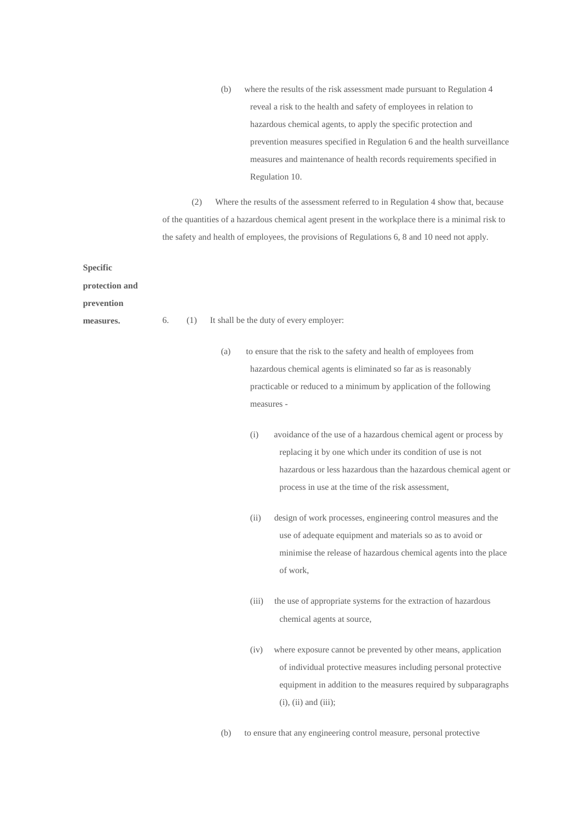(b) where the results of the risk assessment made pursuant to Regulation 4 reveal a risk to the health and safety of employees in relation to hazardous chemical agents, to apply the specific protection and prevention measures specified in Regulation 6 and the health surveillance measures and maintenance of health records requirements specified in Regulation 10.

(2) Where the results of the assessment referred to in Regulation 4 show that, because of the quantities of a hazardous chemical agent present in the workplace there is a minimal risk to the safety and health of employees, the provisions of Regulations 6, 8 and 10 need not apply.

**Specific** 

**protection and** 

**prevention** 

- **measures.** 6. (1) It shall be the duty of every employer:
	- (a) to ensure that the risk to the safety and health of employees from hazardous chemical agents is eliminated so far as is reasonably practicable or reduced to a minimum by application of the following measures -
		- (i) avoidance of the use of a hazardous chemical agent or process by replacing it by one which under its condition of use is not hazardous or less hazardous than the hazardous chemical agent or process in use at the time of the risk assessment,
		- (ii) design of work processes, engineering control measures and the use of adequate equipment and materials so as to avoid or minimise the release of hazardous chemical agents into the place of work,
		- (iii) the use of appropriate systems for the extraction of hazardous chemical agents at source,
		- (iv) where exposure cannot be prevented by other means, application of individual protective measures including personal protective equipment in addition to the measures required by subparagraphs (i), (ii) and (iii);

(b) to ensure that any engineering control measure, personal protective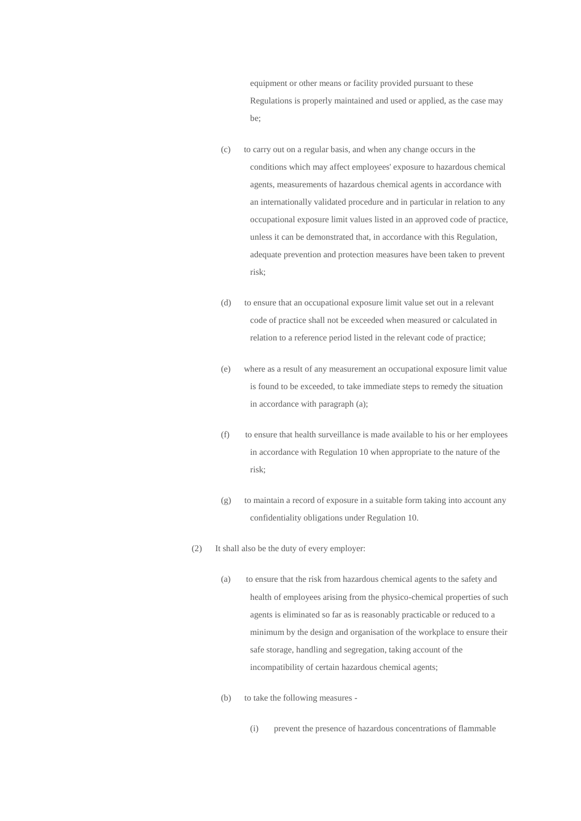equipment or other means or facility provided pursuant to these Regulations is properly maintained and used or applied, as the case may be;

- (c) to carry out on a regular basis, and when any change occurs in the conditions which may affect employees' exposure to hazardous chemical agents, measurements of hazardous chemical agents in accordance with an internationally validated procedure and in particular in relation to any occupational exposure limit values listed in an approved code of practice, unless it can be demonstrated that, in accordance with this Regulation, adequate prevention and protection measures have been taken to prevent risk;
- (d) to ensure that an occupational exposure limit value set out in a relevant code of practice shall not be exceeded when measured or calculated in relation to a reference period listed in the relevant code of practice;
- (e) where as a result of any measurement an occupational exposure limit value is found to be exceeded, to take immediate steps to remedy the situation in accordance with paragraph (a);
- (f) to ensure that health surveillance is made available to his or her employees in accordance with Regulation 10 when appropriate to the nature of the risk;
- (g) to maintain a record of exposure in a suitable form taking into account any confidentiality obligations under Regulation 10.
- (2) It shall also be the duty of every employer:
	- (a) to ensure that the risk from hazardous chemical agents to the safety and health of employees arising from the physico-chemical properties of such agents is eliminated so far as is reasonably practicable or reduced to a minimum by the design and organisation of the workplace to ensure their safe storage, handling and segregation, taking account of the incompatibility of certain hazardous chemical agents;
	- (b) to take the following measures
		- (i) prevent the presence of hazardous concentrations of flammable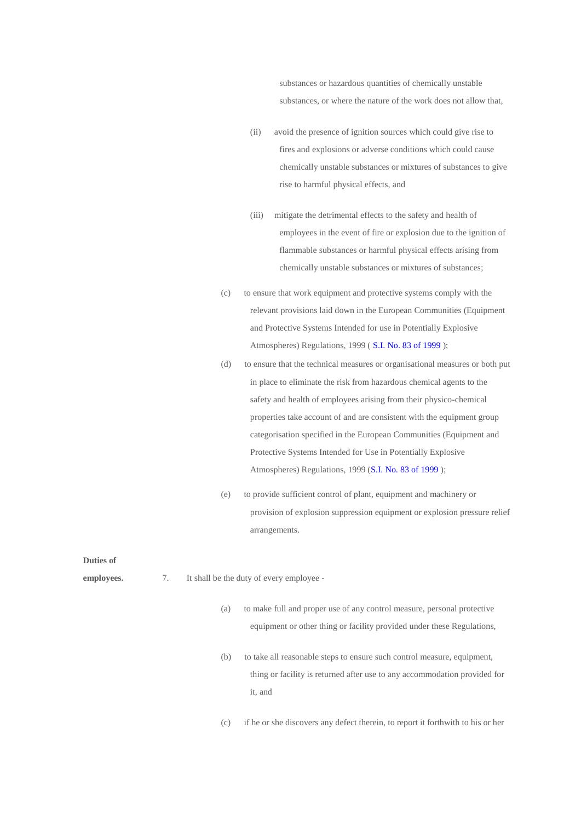substances or hazardous quantities of chemically unstable substances, or where the nature of the work does not allow that,

- (ii) avoid the presence of ignition sources which could give rise to fires and explosions or adverse conditions which could cause chemically unstable substances or mixtures of substances to give rise to harmful physical effects, and
- (iii) mitigate the detrimental effects to the safety and health of employees in the event of fire or explosion due to the ignition of flammable substances or harmful physical effects arising from chemically unstable substances or mixtures of substances;
- (c) to ensure that work equipment and protective systems comply with the relevant provisions laid down in the European Communities (Equipment and Protective Systems Intended for use in Potentially Explosive Atmospheres) Regulations, 1999 ( S.I. No. 83 of [1999](http://www.irishstatutebook.ie/1999/en/si/0083.html) );
- (d) to ensure that the technical measures or organisational measures or both put in place to eliminate the risk from hazardous chemical agents to the safety and health of employees arising from their physico-chemical properties take account of and are consistent with the equipment group categorisation specified in the European Communities (Equipment and Protective Systems Intended for Use in Potentially Explosive Atmospheres) Regulations, 1999 (S.I. No. 83 of [1999](http://www.irishstatutebook.ie/1999/en/si/0083.html) );
- (e) to provide sufficient control of plant, equipment and machinery or provision of explosion suppression equipment or explosion pressure relief arrangements.

(c) if he or she discovers any defect therein, to report it forthwith to his or her

#### **Duties of**

| employees. | 7. |     | It shall be the duty of every employee -                                                                                                                        |
|------------|----|-----|-----------------------------------------------------------------------------------------------------------------------------------------------------------------|
|            |    | (a) | to make full and proper use of any control measure, personal protective<br>equipment or other thing or facility provided under these Regulations,               |
|            |    | (b) | to take all reasonable steps to ensure such control measure, equipment,<br>thing or facility is returned after use to any accommodation provided for<br>it, and |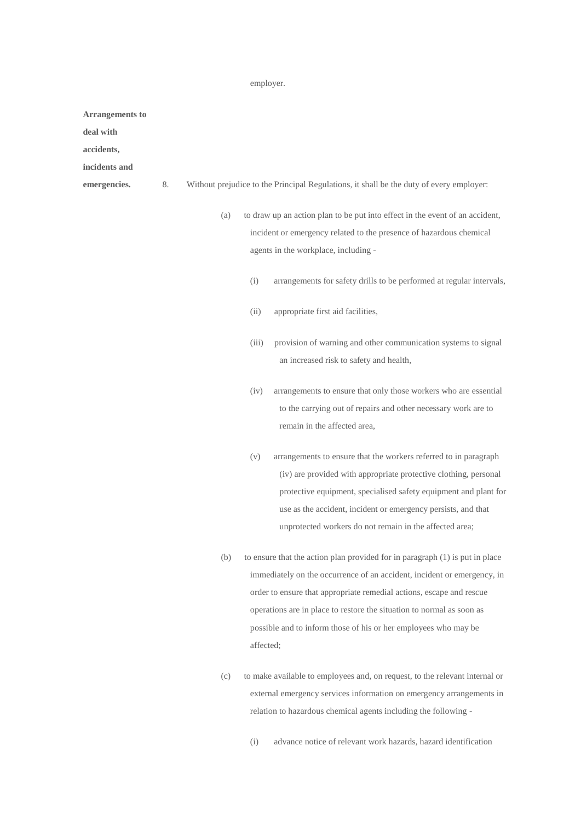### employer.

**Arrangements to** 

**deal with** 

**accidents,** 

**incidents and** 

- 
- emergencies. 8. Without prejudice to the Principal Regulations, it shall be the duty of every employer:
	- (a) to draw up an action plan to be put into effect in the event of an accident, incident or emergency related to the presence of hazardous chemical agents in the workplace, including -
		- (i) arrangements for safety drills to be performed at regular intervals,
		- (ii) appropriate first aid facilities,
		- (iii) provision of warning and other communication systems to signal an increased risk to safety and health,
		- (iv) arrangements to ensure that only those workers who are essential to the carrying out of repairs and other necessary work are to remain in the affected area,
		- (v) arrangements to ensure that the workers referred to in paragraph (iv) are provided with appropriate protective clothing, personal protective equipment, specialised safety equipment and plant for use as the accident, incident or emergency persists, and that unprotected workers do not remain in the affected area;
	- (b) to ensure that the action plan provided for in paragraph (1) is put in place immediately on the occurrence of an accident, incident or emergency, in order to ensure that appropriate remedial actions, escape and rescue operations are in place to restore the situation to normal as soon as possible and to inform those of his or her employees who may be affected;
	- (c) to make available to employees and, on request, to the relevant internal or external emergency services information on emergency arrangements in relation to hazardous chemical agents including the following -
		- (i) advance notice of relevant work hazards, hazard identification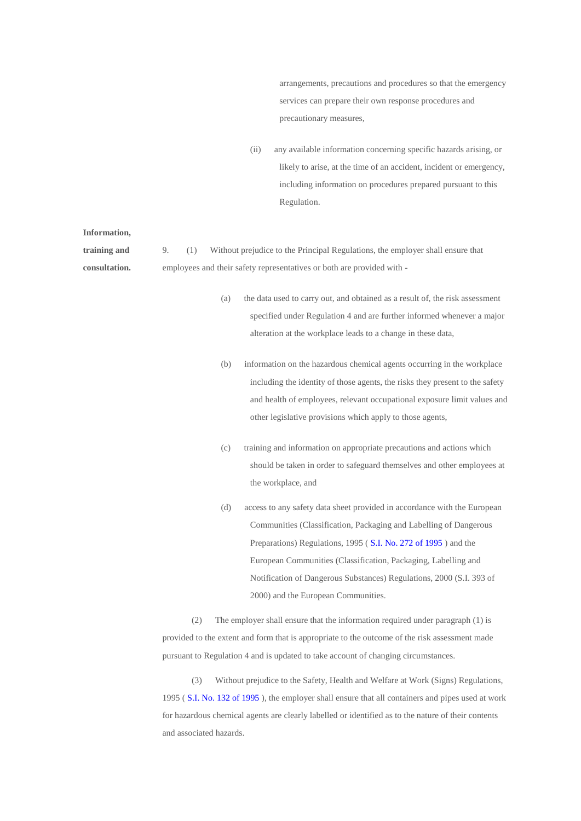arrangements, precautions and procedures so that the emergency services can prepare their own response procedures and precautionary measures,

(ii) any available information concerning specific hazards arising, or likely to arise, at the time of an accident, incident or emergency, including information on procedures prepared pursuant to this Regulation.

| Information,  |    |     |     |                                                                                                                                                                                                                                                                                                                                                                                                  |
|---------------|----|-----|-----|--------------------------------------------------------------------------------------------------------------------------------------------------------------------------------------------------------------------------------------------------------------------------------------------------------------------------------------------------------------------------------------------------|
| training and  | 9. | (1) |     | Without prejudice to the Principal Regulations, the employer shall ensure that                                                                                                                                                                                                                                                                                                                   |
| consultation. |    |     |     | employees and their safety representatives or both are provided with -                                                                                                                                                                                                                                                                                                                           |
|               |    |     | (a) | the data used to carry out, and obtained as a result of, the risk assessment<br>specified under Regulation 4 and are further informed whenever a major<br>alteration at the workplace leads to a change in these data,                                                                                                                                                                           |
|               |    |     | (b) | information on the hazardous chemical agents occurring in the workplace<br>including the identity of those agents, the risks they present to the safety<br>and health of employees, relevant occupational exposure limit values and<br>other legislative provisions which apply to those agents,                                                                                                 |
|               |    |     | (c) | training and information on appropriate precautions and actions which<br>should be taken in order to safeguard themselves and other employees at<br>the workplace, and                                                                                                                                                                                                                           |
|               |    |     | (d) | access to any safety data sheet provided in accordance with the European<br>Communities (Classification, Packaging and Labelling of Dangerous<br>Preparations) Regulations, 1995 (S.I. No. 272 of 1995) and the<br>European Communities (Classification, Packaging, Labelling and<br>Notification of Dangerous Substances) Regulations, 2000 (S.I. 393 of<br>2000) and the European Communities. |
|               |    | (2) |     | The employer shall ensure that the information required under paragraph (1) is                                                                                                                                                                                                                                                                                                                   |
|               |    |     |     | provided to the extent and form that is enpropriate to the outcome of the righ essessment made                                                                                                                                                                                                                                                                                                   |

provided to the extent and form that is appropriate to the outcome of the risk assessment made pursuant to Regulation 4 and is updated to take account of changing circumstances.

(3) Without prejudice to the Safety, Health and Welfare at Work (Signs) Regulations, 1995 ( S.I. No. 132 of [1995](http://www.irishstatutebook.ie/1995/en/si/0132.html) ), the employer shall ensure that all containers and pipes used at work for hazardous chemical agents are clearly labelled or identified as to the nature of their contents and associated hazards.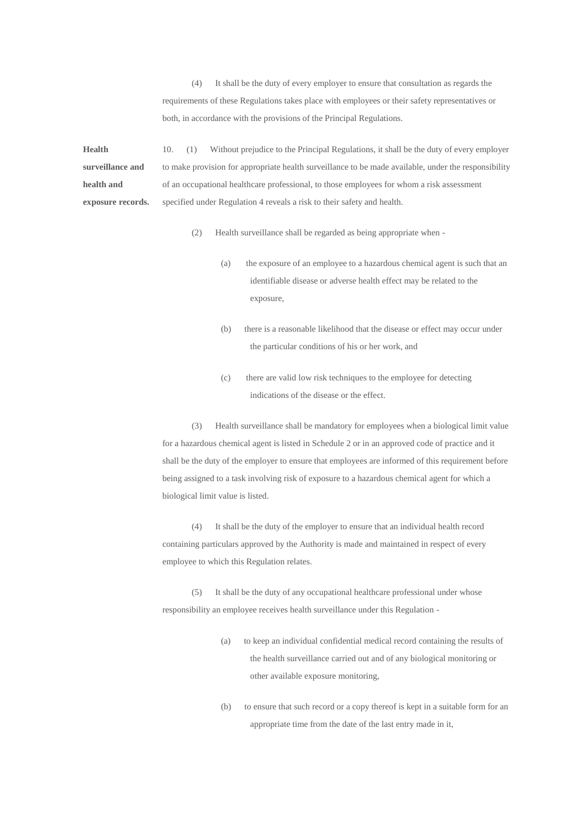(4) It shall be the duty of every employer to ensure that consultation as regards the requirements of these Regulations takes place with employees or their safety representatives or both, in accordance with the provisions of the Principal Regulations.

**Health surveillance and health and exposure records.** 10. (1) Without prejudice to the Principal Regulations, it shall be the duty of every employer to make provision for appropriate health surveillance to be made available, under the responsibility of an occupational healthcare professional, to those employees for whom a risk assessment specified under Regulation 4 reveals a risk to their safety and health.

- (2) Health surveillance shall be regarded as being appropriate when
	- (a) the exposure of an employee to a hazardous chemical agent is such that an identifiable disease or adverse health effect may be related to the exposure,
	- (b) there is a reasonable likelihood that the disease or effect may occur under the particular conditions of his or her work, and
	- (c) there are valid low risk techniques to the employee for detecting indications of the disease or the effect.

(3) Health surveillance shall be mandatory for employees when a biological limit value for a hazardous chemical agent is listed in Schedule 2 or in an approved code of practice and it shall be the duty of the employer to ensure that employees are informed of this requirement before being assigned to a task involving risk of exposure to a hazardous chemical agent for which a biological limit value is listed.

(4) It shall be the duty of the employer to ensure that an individual health record containing particulars approved by the Authority is made and maintained in respect of every employee to which this Regulation relates.

(5) It shall be the duty of any occupational healthcare professional under whose responsibility an employee receives health surveillance under this Regulation -

- (a) to keep an individual confidential medical record containing the results of the health surveillance carried out and of any biological monitoring or other available exposure monitoring,
- (b) to ensure that such record or a copy thereof is kept in a suitable form for an appropriate time from the date of the last entry made in it,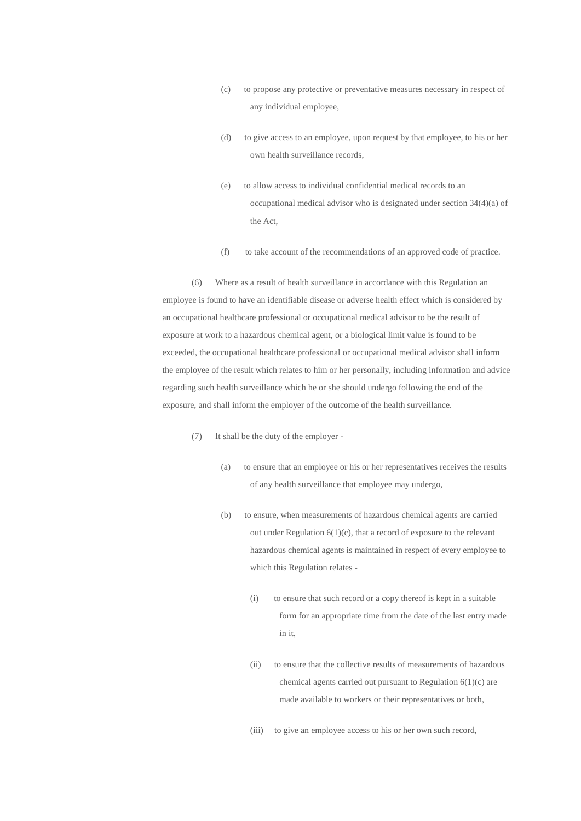- (c) to propose any protective or preventative measures necessary in respect of any individual employee,
- (d) to give access to an employee, upon request by that employee, to his or her own health surveillance records,
- (e) to allow access to individual confidential medical records to an occupational medical advisor who is designated under section 34(4)(a) of the Act,
- (f) to take account of the recommendations of an approved code of practice.

(6) Where as a result of health surveillance in accordance with this Regulation an employee is found to have an identifiable disease or adverse health effect which is considered by an occupational healthcare professional or occupational medical advisor to be the result of exposure at work to a hazardous chemical agent, or a biological limit value is found to be exceeded, the occupational healthcare professional or occupational medical advisor shall inform the employee of the result which relates to him or her personally, including information and advice regarding such health surveillance which he or she should undergo following the end of the exposure, and shall inform the employer of the outcome of the health surveillance.

- (7) It shall be the duty of the employer
	- (a) to ensure that an employee or his or her representatives receives the results of any health surveillance that employee may undergo,
	- (b) to ensure, when measurements of hazardous chemical agents are carried out under Regulation 6(1)(c), that a record of exposure to the relevant hazardous chemical agents is maintained in respect of every employee to which this Regulation relates -
		- (i) to ensure that such record or a copy thereof is kept in a suitable form for an appropriate time from the date of the last entry made in it,
		- (ii) to ensure that the collective results of measurements of hazardous chemical agents carried out pursuant to Regulation 6(1)(c) are made available to workers or their representatives or both,
		- (iii) to give an employee access to his or her own such record,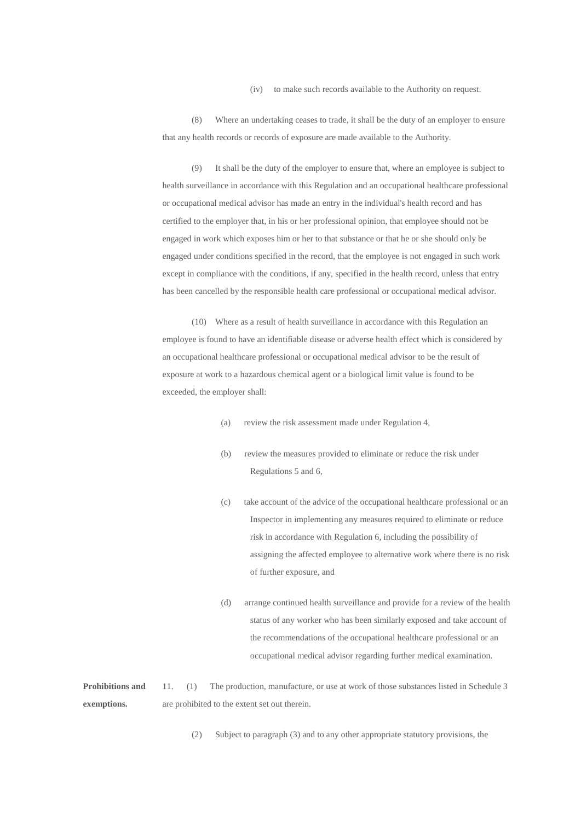(iv) to make such records available to the Authority on request.

(8) Where an undertaking ceases to trade, it shall be the duty of an employer to ensure that any health records or records of exposure are made available to the Authority.

(9) It shall be the duty of the employer to ensure that, where an employee is subject to health surveillance in accordance with this Regulation and an occupational healthcare professional or occupational medical advisor has made an entry in the individual's health record and has certified to the employer that, in his or her professional opinion, that employee should not be engaged in work which exposes him or her to that substance or that he or she should only be engaged under conditions specified in the record, that the employee is not engaged in such work except in compliance with the conditions, if any, specified in the health record, unless that entry has been cancelled by the responsible health care professional or occupational medical advisor.

(10) Where as a result of health surveillance in accordance with this Regulation an employee is found to have an identifiable disease or adverse health effect which is considered by an occupational healthcare professional or occupational medical advisor to be the result of exposure at work to a hazardous chemical agent or a biological limit value is found to be exceeded, the employer shall:

- (a) review the risk assessment made under Regulation 4,
- (b) review the measures provided to eliminate or reduce the risk under Regulations 5 and 6,
- (c) take account of the advice of the occupational healthcare professional or an Inspector in implementing any measures required to eliminate or reduce risk in accordance with Regulation 6, including the possibility of assigning the affected employee to alternative work where there is no risk of further exposure, and
- (d) arrange continued health surveillance and provide for a review of the health status of any worker who has been similarly exposed and take account of the recommendations of the occupational healthcare professional or an occupational medical advisor regarding further medical examination.

**Prohibitions and exemptions.** 11. (1) The production, manufacture, or use at work of those substances listed in Schedule 3 are prohibited to the extent set out therein.

(2) Subject to paragraph (3) and to any other appropriate statutory provisions, the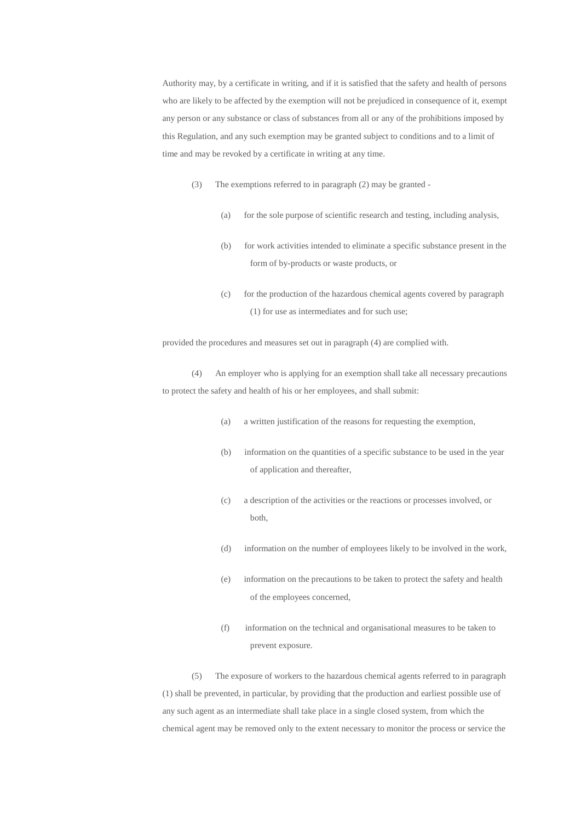Authority may, by a certificate in writing, and if it is satisfied that the safety and health of persons who are likely to be affected by the exemption will not be prejudiced in consequence of it, exempt any person or any substance or class of substances from all or any of the prohibitions imposed by this Regulation, and any such exemption may be granted subject to conditions and to a limit of time and may be revoked by a certificate in writing at any time.

- (3) The exemptions referred to in paragraph (2) may be granted
	- (a) for the sole purpose of scientific research and testing, including analysis,
	- (b) for work activities intended to eliminate a specific substance present in the form of by-products or waste products, or
	- (c) for the production of the hazardous chemical agents covered by paragraph (1) for use as intermediates and for such use;

provided the procedures and measures set out in paragraph (4) are complied with.

(4) An employer who is applying for an exemption shall take all necessary precautions to protect the safety and health of his or her employees, and shall submit:

- (a) a written justification of the reasons for requesting the exemption,
- (b) information on the quantities of a specific substance to be used in the year of application and thereafter,
- (c) a description of the activities or the reactions or processes involved, or both,
- (d) information on the number of employees likely to be involved in the work,
- (e) information on the precautions to be taken to protect the safety and health of the employees concerned,
- (f) information on the technical and organisational measures to be taken to prevent exposure.

(5) The exposure of workers to the hazardous chemical agents referred to in paragraph (1) shall be prevented, in particular, by providing that the production and earliest possible use of any such agent as an intermediate shall take place in a single closed system, from which the chemical agent may be removed only to the extent necessary to monitor the process or service the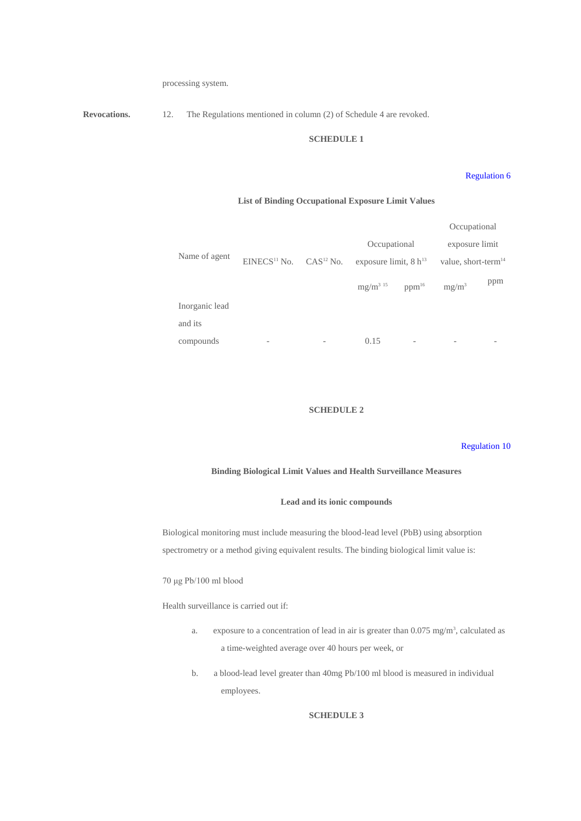processing system.

**Revocations.** 12. The Regulations mentioned in column (2) of Schedule 4 are revoked.

### **SCHEDULE 1**

### [Regulation](http://www.irishstatutebook.ie/2001/en/si/0619.html#article6) 6

### **List of Binding Occupational Exposure Limit Values**

|                |                                                |                          |                                 | Occupational                    |     |
|----------------|------------------------------------------------|--------------------------|---------------------------------|---------------------------------|-----|
|                |                                                |                          | Occupational                    | exposure limit                  |     |
| Name of agent  | EINECS <sup>11</sup> No. CAS <sup>12</sup> No. |                          | exposure limit, $8 h^{13}$      | value, short-term <sup>14</sup> |     |
|                |                                                |                          | $mg/m^{3}$ 15 ppm <sup>16</sup> | $mg/m^3$                        | ppm |
| Inorganic lead |                                                |                          |                                 |                                 |     |
| and its        |                                                |                          |                                 |                                 |     |
| compounds      |                                                | $\overline{\phantom{a}}$ | 0.15                            |                                 |     |

### **SCHEDULE 2**

### [Regulation](http://www.irishstatutebook.ie/2001/en/si/0619.html#article10) 10

### **Binding Biological Limit Values and Health Surveillance Measures**

### **Lead and its ionic compounds**

Biological monitoring must include measuring the blood-lead level (PbB) using absorption spectrometry or a method giving equivalent results. The binding biological limit value is:

### 70 μg Pb/100 ml blood

Health surveillance is carried out if:

- a. exposure to a concentration of lead in air is greater than  $0.075 \text{ mg/m}^3$ , calculated as a time-weighted average over 40 hours per week, or
- b. a blood-lead level greater than 40mg Pb/100 ml blood is measured in individual employees.

# **SCHEDULE 3**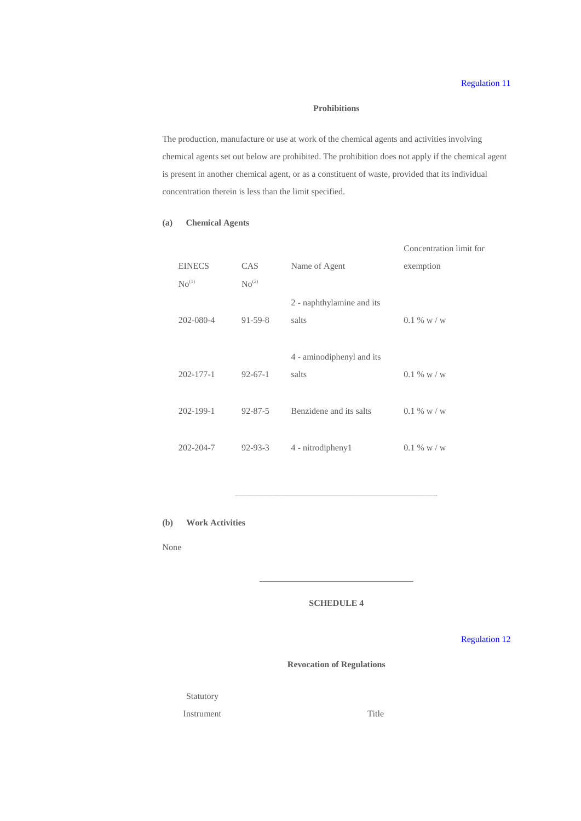### **Prohibitions**

The production, manufacture or use at work of the chemical agents and activities involving chemical agents set out below are prohibited. The prohibition does not apply if the chemical agent is present in another chemical agent, or as a constituent of waste, provided that its individual concentration therein is less than the limit specified.

# **(a) Chemical Agents**

|                   |                           | Concentration limit for |
|-------------------|---------------------------|-------------------------|
| <b>CAS</b>        | Name of Agent             | exemption               |
| No <sup>(2)</sup> |                           |                         |
|                   | 2 - naphthylamine and its |                         |
| $91 - 59 - 8$     | salts                     | $0.1\%$ w / w           |
|                   |                           |                         |
|                   | 4 - aminodiphenyl and its |                         |
| $92 - 67 - 1$     | salts                     | $0.1\%$ w / w           |
|                   |                           |                         |
| $92 - 87 - 5$     | Benzidene and its salts   | $0.1\%$ w / w           |
|                   |                           |                         |
| $92 - 93 - 3$     | 4 - nitrodipheny1         | $0.1\%$ w / w           |
|                   |                           |                         |

**(b) Work Activities**

None

# **SCHEDULE 4**

\_\_\_\_\_\_\_\_\_\_\_\_\_\_\_\_\_\_\_\_\_\_\_\_\_\_\_\_\_\_\_\_\_\_\_

\_\_\_\_\_\_\_\_\_\_\_\_\_\_\_\_\_\_\_\_\_\_\_\_\_\_\_\_\_\_\_\_\_\_\_\_\_\_\_\_\_\_\_\_\_\_

[Regulation](http://www.irishstatutebook.ie/2001/en/si/0619.html#article12) 12

**Revocation of Regulations**

Statutory

Instrument Title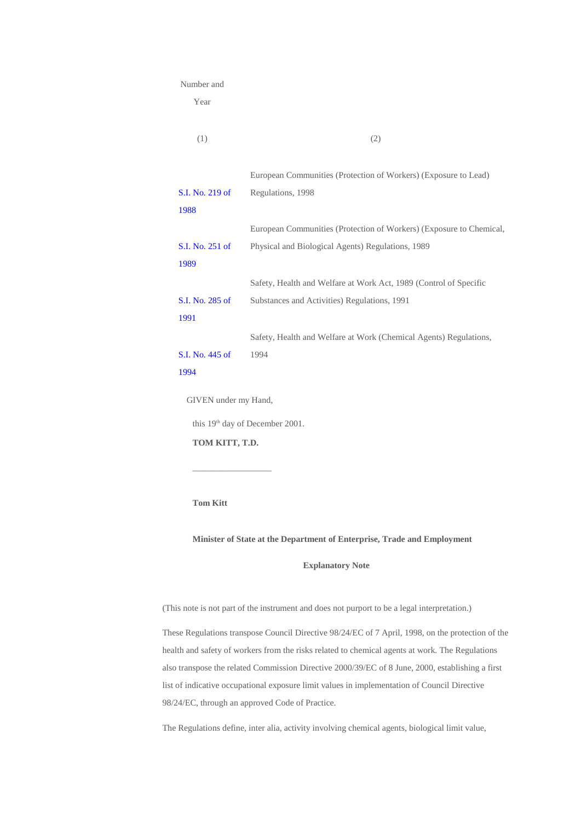#### Number and

Year

| (1)             | (2)                                                                 |
|-----------------|---------------------------------------------------------------------|
|                 | European Communities (Protection of Workers) (Exposure to Lead)     |
| S.I. No. 219 of | Regulations, 1998                                                   |
| 1988            |                                                                     |
|                 | European Communities (Protection of Workers) (Exposure to Chemical, |
| S.I. No. 251 of | Physical and Biological Agents) Regulations, 1989                   |
| 1989            |                                                                     |
|                 | Safety, Health and Welfare at Work Act, 1989 (Control of Specific   |
| S.I. No. 285 of | Substances and Activities) Regulations, 1991                        |
| 1991            |                                                                     |
|                 | Safety, Health and Welfare at Work (Chemical Agents) Regulations,   |
| S.I. No. 445 of | 1994                                                                |
| 1994            |                                                                     |

this 19<sup>th</sup> day of December 2001.

**TOM KITT, T.D.**

 $\_$ 

**Tom Kitt**

**Minister of State at the Department of Enterprise, Trade and Employment**

# **Explanatory Note**

(This note is not part of the instrument and does not purport to be a legal interpretation.)

These Regulations transpose Council Directive 98/24/EC of 7 April, 1998, on the protection of the health and safety of workers from the risks related to chemical agents at work. The Regulations also transpose the related Commission Directive 2000/39/EC of 8 June, 2000, establishing a first list of indicative occupational exposure limit values in implementation of Council Directive 98/24/EC, through an approved Code of Practice.

The Regulations define, inter alia, activity involving chemical agents, biological limit value,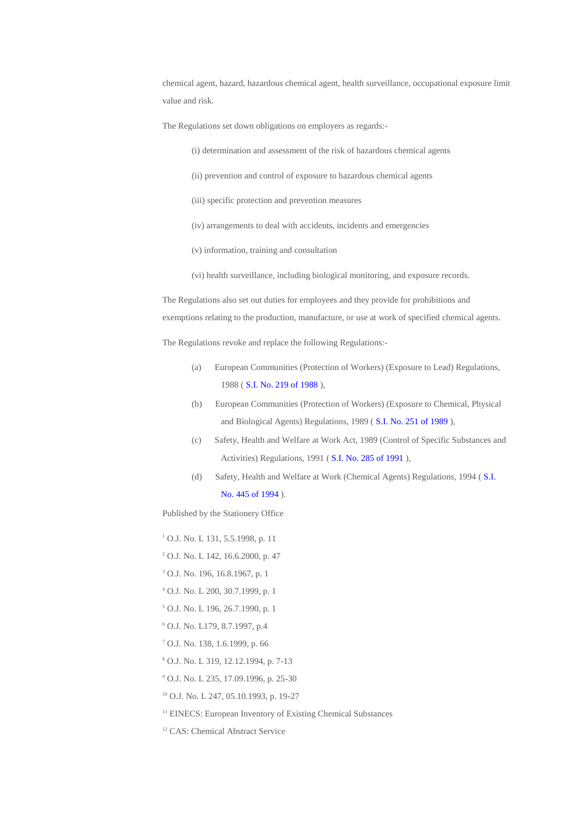chemical agent, hazard, hazardous chemical agent, health surveillance, occupational exposure limit value and risk.

The Regulations set down obligations on employers as regards:-

- (i) determination and assessment of the risk of hazardous chemical agents
- (ii) prevention and control of exposure to hazardous chemical agents
- (iii) specific protection and prevention measures
- (iv) arrangements to deal with accidents, incidents and emergencies
- (v) information, training and consultation
- (vi) health surveillance, including biological monitoring, and exposure records.

The Regulations also set out duties for employees and they provide for prohibitions and exemptions relating to the production, manufacture, or use at work of specified chemical agents.

The Regulations revoke and replace the following Regulations:-

- (a) European Communities (Protection of Workers) (Exposure to Lead) Regulations, 1988 ( S.I. No. 219 of [1988](http://www.irishstatutebook.ie/1988/en/si/0219.html) ),
- (b) European Communities (Protection of Workers) (Exposure to Chemical, Physical and Biological Agents) Regulations, 1989 ( S.I. No. 251 of [1989](http://www.irishstatutebook.ie/1989/en/si/0251.html) ),
- (c) Safety, Health and Welfare at Work Act, 1989 (Control of Specific Substances and Activities) Regulations, 1991 ( S.I. No. 285 of [1991](http://www.irishstatutebook.ie/1991/en/si/0285.html) ),
- (d) Safety, Health and Welfare at Work (Chemical Agents) Regulations, 1994 ( [S.I.](http://www.irishstatutebook.ie/1994/en/si/0445.html)

No. 445 of [1994](http://www.irishstatutebook.ie/1994/en/si/0445.html) ).

Published by the Stationery Office

<sup>1</sup> O.J. No. L 131, 5.5.1998, p. 11

- <sup>2</sup> O.J. No. L 142, 16.6.2000, p. 47
- <sup>3</sup> O.J. No. 196, 16.8.1967, p. 1
- <sup>4</sup> O.J. No. L 200, 30.7.1999, p. 1
- <sup>5</sup> O.J. No. L 196, 26.7.1990, p. 1
- <sup>6</sup> O.J. No. L179, 8.7.1997, p.4
- <sup>7</sup> O.J. No. 138, 1.6.1999, p. 66
- <sup>8</sup> O.J. No. L 319, 12.12.1994, p. 7-13
- <sup>9</sup> O.J. No. L 235, 17.09.1996, p. 25-30
- <sup>10</sup> O.J. No. L 247, 05.10.1993, p. 19-27
- <sup>11</sup> EINECS: European Inventory of Existing Chemical Substances
- <sup>12</sup> CAS: Chemical Abstract Service